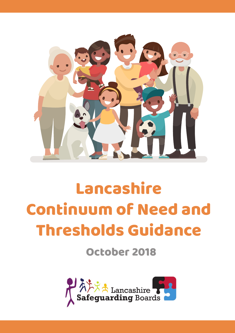

# Lancashire Continuum of Need and Thresholds Guidance

October 2018

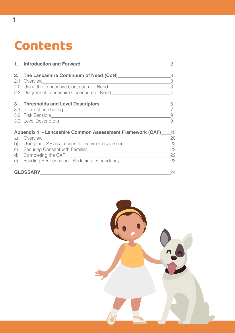## Contents

|           | 1. Introduction and Forward                                                                                                                                                                                                          | $\overline{2}$           |
|-----------|--------------------------------------------------------------------------------------------------------------------------------------------------------------------------------------------------------------------------------------|--------------------------|
| 2.        | The Lancashire Continuum of Need (CoN)                                                                                                                                                                                               | 3                        |
|           | 2.1 Overview                                                                                                                                                                                                                         | 3                        |
|           | 2.2 Using the Lancashire Continuum of Need                                                                                                                                                                                           | $\overline{\phantom{a}}$ |
|           | 2.3 Diagram of Lancashire Continuum of Need                                                                                                                                                                                          | 4                        |
|           | 3. Thresholds and Level Descriptors                                                                                                                                                                                                  | 5                        |
|           | 3.1 Information sharing <b>contained a state of the state of the state of the state of the state of the state of the state of the state of the state of the state of the state of the state of the state of the state of the sta</b> |                          |
|           |                                                                                                                                                                                                                                      | 9                        |
|           |                                                                                                                                                                                                                                      | $\Omega$                 |
|           | Appendix 1 - Lancashire Common Assessment Framework (CAF)                                                                                                                                                                            | 20                       |
| a)        | Overview                                                                                                                                                                                                                             | 20                       |
| b)        | Using the CAF as a request for service engagement                                                                                                                                                                                    | 22                       |
| $\circ$ ) |                                                                                                                                                                                                                                      | 22                       |
| d)        |                                                                                                                                                                                                                                      | 22                       |
| e)        | Building Resilience and Reducing Dependency                                                                                                                                                                                          | 23                       |
|           | <b>GLOSSARY</b>                                                                                                                                                                                                                      | 24                       |

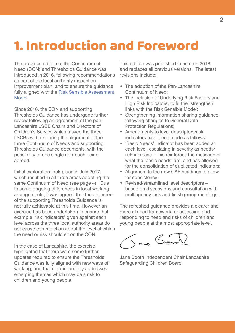## 1. Introduction and Foreword

The previous edition of the Continuum of Need (CON) and Thresholds Guidance was introduced in 2016, following recommendations as part of the local authority inspection improvement plan, and to ensure the guidance fully aligned with the [Risk Sensible Assessment](http://www.lancashiresafeguarding.org.uk/media/34101/multi-agency-risk-sensible-framework-web-.pdf)  [Model.](http://www.lancashiresafeguarding.org.uk/media/34101/multi-agency-risk-sensible-framework-web-.pdf)

Since 2016, the CON and supporting Thresholds Guidance has undergone further review following an agreement of the pan-Lancashire LSCB Chairs and Directors of Children's Service which tasked the three LSCBs with exploring the alignment of the three Continuum of Needs and supporting Thresholds Guidance documents, with the possibility of one single approach being agreed.

Initial exploration took place in July 2017, which resulted in all three areas adopting the same Continuum of Need (see page 4). Due to some ongoing differences in local working arrangements, it was agreed that the alignment of the supporting Thresholds Guidance is not fully achievable at this time. However an exercise has been undertaken to ensure that example 'risk indicators' given against each level across the three local authority areas do not cause contradiction about the level at which the need or risk should sit on the CON.

In the case of Lancashire, the exercise highlighted that there were some further updates required to ensure the Thresholds Guidance was fully aligned with new ways of working, and that it appropriately addresses emerging themes which may be a risk to children and young people.

This edition was published in autumn 2018 and replaces all previous versions. The latest revisions include:

- The adoption of the Pan-Lancashire Continuum of Need;
- The inclusion of Underlying Risk Factors and High Risk Indicators, to further strengthen links with the Risk Sensible Model;
- Strengthening information sharing guidance, following changes to General Data Protection Regulations;
- Amendments to level descriptors/risk indicators have been made as follows:
- 'Basic Needs' indicator has been added at each level, escalating in severity as needs/ risk increase. This reinforces the message of what the 'basic needs' are, and has allowed for the consolidation of duplicated indicators;
- Alignment to the new CAF headings to allow for consistency;
- Revised/streamlined level descriptors based on discussions and consultation with multiagency task and finish group meetings.

The refreshed guidance provides a clearer and more aligned framework for assessing and responding to need and risks of children and young people at the most appropriate level.

Save Boo

Jane Booth Independent Chair Lancashire Safeguarding Children Board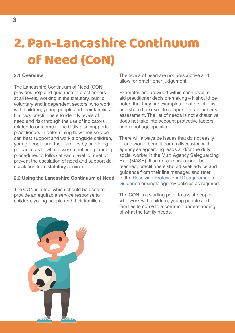## 2. Pan-Lancashire Continuum of Need (CoN)

## **2.1 Overview**

The Lancashire Continuum of Need (CON) provides help and guidance to practitioners at all levels, working in the statutory, public, voluntary and independent sectors, who work with children, young people and their families. It allows practitioners to identify levels of need and risk through the use of indicators related to outcomes. The CON also supports practitioners in determining how their service can best support and work alongside children, young people and their families by providing guidance as to what assessment and planning procedures to follow at each level to meet or prevent the escalation of need and support deescalation from statutory services.

## **2.2 Using the Lancashire Continuum of Need**

The CON is a tool which should be used to provide an equitable service response to children, young people and their families.

The levels of need are not prescriptive and allow for practitioner judgement.

Examples are provided within each level to aid practitioner decision-making – it should be noted that they are examples – not definitions – and should be used to support a practitioner's assessment. The list of needs is not exhaustive, does not take into account protective factors and is not age specific.

There will always be issues that do not easily fit and would benefit from a discussion with agency safeguarding leads and/or the duty social worker in the Multi Agency Safeguarding Hub (MASH). If an agreement cannot be reached, practitioners should seek advice and guidance from their line manager, and refer to the [Resolving Professional Disagreements](http://panlancashirescb.proceduresonline.com/chapters/p_resolving_prof_disagree.html?zoom_highlight=resolving)  [Guidance](http://panlancashirescb.proceduresonline.com/chapters/p_resolving_prof_disagree.html?zoom_highlight=resolving) or single agency policies as required.

The CON is a starting point to assist people who work with children, young people and families to come to a common understanding of what the family needs.

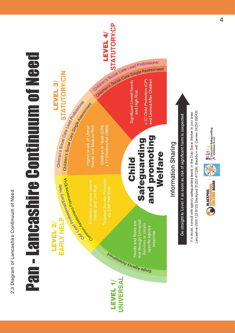

**4**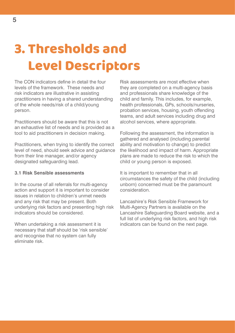## 3. Thresholds and Level Descriptors

The CON indicators define in detail the four levels of the framework. These needs and risk indicators are illustrative in assisting practitioners in having a shared understanding of the whole needs/risk of a child/young person.

Practitioners should be aware that this is not an exhaustive list of needs and is provided as a tool to aid practitioners in decision making.

Practitioners, when trying to identify the correct level of need, should seek advice and guidance from their line manager, and/or agency designated safeguarding lead.

## **3.1 Risk Sensible assessments**

In the course of all referrals for multi-agency action and support it is important to consider issues in relation to children's unmet needs and any risk that may be present. Both underlying risk factors and presenting high risk indicators should be considered.

When undertaking a risk assessment it is necessary that staff should be 'risk sensible' and recognise that no system can fully eliminate risk.

Risk assessments are most effective when they are completed on a multi-agency basis and professionals share knowledge of the child and family. This includes, for example, health professionals, GPs, schools/nurseries, probation services, housing, youth offending teams, and adult services including drug and alcohol services, where appropriate.

Following the assessment, the information is gathered and analysed (including parental ability and motivation to change) to predict the likelihood and impact of harm. Appropriate plans are made to reduce the risk to which the child or young person is exposed.

It is important to remember that in all circumstances the safety of the child (including unborn) concerned must be the paramount consideration.

Lancashire's Risk Sensible Framework for Multi-Agency Partners is available on the Lancashire Safeguarding Board website, and a full list of underlying risk factors, and high risk indicators can be found on the next page.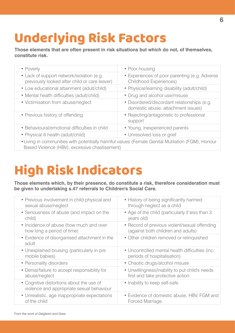## Underlying Risk Factors

**Those elements that are often present in risk situations but which do not, of themselves, constitute risk.**

| • Poverty                                                                                                                                         | • Poor housing                                                                    |  |
|---------------------------------------------------------------------------------------------------------------------------------------------------|-----------------------------------------------------------------------------------|--|
| • Lack of support network/isolation (e.g.<br>previously looked after child or care leaver)                                                        | • Experiences of poor parenting (e.g. Adverse<br><b>Childhood Experiences)</b>    |  |
| • Low educational attainment (adult/child)                                                                                                        | • Physical/learning disability (adult/child)                                      |  |
| • Mental health difficulties (adult/child)                                                                                                        | • Drug and alcohol use/misuse                                                     |  |
| • Victimisation from abuse/neglect                                                                                                                | • Disordered/discordant relationships (e.g.<br>domestic abuse, attachment issues) |  |
| • Previous history of offending                                                                                                                   | • Rejecting/antagonistic to professional<br>support                               |  |
| • Behavioural/emotional difficulties in child                                                                                                     | • Young, inexperienced parents                                                    |  |
| • Physical ill health (adult/child)                                                                                                               | • Unresolved loss or grief                                                        |  |
| • Living in communities with potentially harmful values (Female Genital Mutilation (FGM), Honour<br>Based Violence (HBV), excessive chastisement) |                                                                                   |  |

## High Risk Indicators

**Those elements which, by their presence, do constitute a risk, therefore consideration must be given to undertaking s.47 referrals to Children's Social Care.**

| • Previous involvement in child physical and                                          | • History of being significantly harmed         |
|---------------------------------------------------------------------------------------|-------------------------------------------------|
| sexual abuse/neglect                                                                  | through neglect as a child                      |
| • Seriousness of abuse (and impact on the                                             | • Age of the child (particularly if less than 3 |
| child)                                                                                | years old)                                      |
| • Incidence of abuse (how much and over                                               | • Record of previous violent/sexual offending   |
| how long a period of time)                                                            | (against both children and adults)              |
| • Evidence of disorganised attachment in the<br>adult                                 | • Other children removed or relinquished        |
| • Unexplained bruising (particularly in pre                                           | • Uncontrolled mental health difficulties (inc. |
| mobile babies)                                                                        | periods of hospitalisation)                     |
| • Personality disorders                                                               | • Chaotic drugs/alcohol misuse                  |
| • Denial/failure to accept responsibility for                                         | • Unwillingness/inability to put child's needs  |
| abuse/neglect                                                                         | first and take protective action                |
| • Cognitive distortions about the use of<br>violence and appropriate sexual behaviour | • Inability to keep self-safe                   |
| • Unrealistic, age inappropriate expectations                                         | • Evidence of domestic abuse, HBV, FGM and      |
| of the child                                                                          | Forced Marriage.                                |
|                                                                                       |                                                 |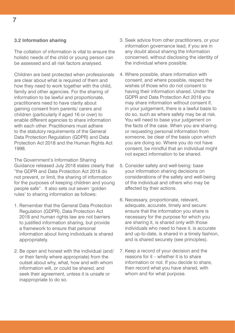### **3.2 Information sharing**

The collation of information is vital to ensure the holistic needs of the child or young person can be assessed and all risk factors analysed.

Children are best protected when professionals are clear about what is required of them and how they need to work together with the child, family and other agencies. For the sharing of information to be lawful and proportionate, practitioners need to have clarity about gaining consent from parents/ carers and children (particularly if aged 16 or over) to enable different agencies to share information with each other. Practitioners must adhere to the statutory requirements of the General Data Protection Regulation (GDPR) and Data Protection Act 2018 and the Human Rights Act 1998.

The Government's Information Sharing Guidance released July 2018 states clearly that "the GDPR and Data Protection Act 2018 do not prevent, or limit, the sharing of information for the purposes of keeping children and young people safe". It also sets out seven 'golden rules' to sharing information as follows:

- 1. Remember that the General Data Protection Regulation (GDPR), Data Protection Act 2018 and human rights law are not barriers to justified information sharing, but provide a framework to ensure that personal information about living individuals is shared appropriately.
- 2. Be open and honest with the individual (and/ or their family where appropriate) from the outset about why, what, how and with whom information will, or could be shared, and seek their agreement, unless it is unsafe or inappropriate to do so.
- 3. Seek advice from other practitioners, or your information governance lead, if you are in any doubt about sharing the information concerned, without disclosing the identity of the individual where possible.
- 4. Where possible, share information with consent, and where possible, respect the wishes of those who do not consent to having their information shared. Under the GDPR and Data Protection Act 2018 you may share information without consent if, in your judgement, there is a lawful basis to do so, such as where safety may be at risk. You will need to base your judgement on the facts of the case. When you are sharing or requesting personal information from someone, be clear of the basis upon which you are doing so. Where you do not have consent, be mindful that an individual might not expect information to be shared.
- 5. Consider safety and well-being: base your information sharing decisions on considerations of the safety and well-being of the individual and others who may be affected by their actions.
- 6. Necessary, proportionate, relevant, adequate, accurate, timely and secure: ensure that the information you share is necessary for the purpose for which you are sharing it, is shared only with those individuals who need to have it, is accurate and up-to-date, is shared in a timely fashion, and is shared securely (see principles).
- 7. Keep a record of your decision and the reasons for it – whether it is to share information or not. If you decide to share, then record what you have shared, with whom and for what purpose.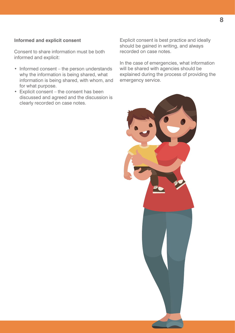## **Informed and explicit consent**

Consent to share information must be both informed and explicit:

- Informed consent the person understands why the information is being shared, what information is being shared, with whom, and for what purpose.
- Explicit consent the consent has been discussed and agreed and the discussion is clearly recorded on case notes.

Explicit consent is best practice and ideally should be gained in writing, and always recorded on case notes.

In the case of emergencies, what information will be shared with agencies should be explained during the process of providing the emergency service.

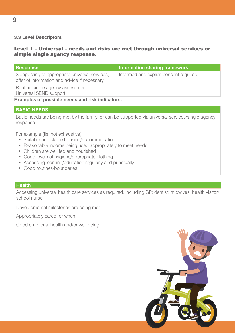## **3.3 Level Descriptors**

## Level 1 – Universal – needs and risks are met through universal services or simple single agency response.

| <b>Response</b>                                                                                 | Information sharing framework          |
|-------------------------------------------------------------------------------------------------|----------------------------------------|
| Signposting to appropriate universal services,<br>offer of information and advice if necessary. | Informed and explicit consent required |
| Routine single agency assessment<br>Universal SEND support                                      |                                        |

**Examples of possible needs and risk indicators:**

### **BASIC NEEDS**

Basic needs are being met by the family, or can be supported via universal services/single agency response

For example (list not exhaustive):

- Suitable and stable housing/accommodation
- Reasonable income being used appropriately to meet needs
- Children are well fed and nourished
- Good levels of hygiene/appropriate clothing
- Accessing learning/education regularly and punctually
- Good routines/boundaries

### **Health**

Accessing universal health care services as required, including GP; dentist; midwives; health visitor/ school nurse

Developmental milestones are being met

Appropriately cared for when ill

Good emotional health and/or well being

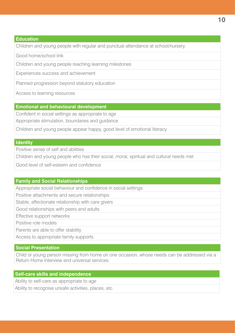## **Education**

Children and young people with regular and punctual attendance at school/nursery.

Good home/school link

Children and young people reaching learning milestones

Experiences success and achievement

Planned progression beyond statutory education

Access to learning resources

## **Emotional and behavioural development**

Confident in social settings as appropriate to age

Appropriate stimulation, boundaries and guidance

Children and young people appear happy, good level of emotional literacy

### **Identity**

Positive sense of self and abilities

Children and young people who has their social, moral, spiritual and cultural needs met

Good level of self-esteem and confidence

## **Family and Social Relationships**

Appropriate social behaviour and confidence in social settings

Positive attachments and secure relationships

Stable, affectionate relationship with care givers

Good relationships with peers and adults

Effective support networks

Positive role models

Parents are able to offer stability

Access to appropriate family supports

## **Social Presentation**

Child or young person missing from home on one occasion, whose needs can be addressed via a Return Home Interview and universal services.

## **Self-care skills and independence**

Ability to self-care as appropriate to age

Ability to recognise unsafe activities, places, etc.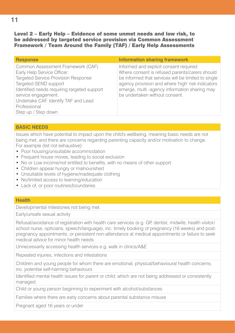Level 2 – Early Help – Evidence of some unmet needs and low risk, to be addressed by targeted service provision via Common Assessment Framework / Team Around the Family (TAF) / Early Help Assessments

| <b>Response</b>                                                                                                                                                                                                                                                                             | <b>Information sharing framework</b>                                                                                                                                                                                                                                                   |
|---------------------------------------------------------------------------------------------------------------------------------------------------------------------------------------------------------------------------------------------------------------------------------------------|----------------------------------------------------------------------------------------------------------------------------------------------------------------------------------------------------------------------------------------------------------------------------------------|
| Common Assessment Framework (CAF)<br>Early Help Service Officer<br><b>Targeted Service Provision Response</b><br>Targeted SEND support<br>Identified needs requiring targeted support<br>service engagement.<br>Undertake CAF. Identify TAF and Lead<br>Professional<br>Step up / Step down | Informed and explicit consent required<br>Where consent is refused parents/carers should<br>be informed that services will be limited to single<br>agency provision and where 'high' risk indicators<br>emerge, multi-agency information sharing may<br>be undertaken without consent. |

## **BASIC NEEDS**

Issues which have potential to impact upon the child's wellbeing, meaning basic needs are not being met, and there are concerns regarding parenting capacity and/or motivation to change. For example (list not exhaustive):

- Poor housing/unsuitable accommodation
- Frequent house moves, leading to social exclusion
- No or Low income/not entitled to benefits, with no means of other support
- Children appear hungry or malnourished
- Unsuitable levels of hygiene/inadequate clothing
- No/limited access to learning/education
- Lack of, or poor routines/boundaries

### **Health**

Developmental milestones not being met.

Early/unsafe sexual activity

Refusal/avoidance of registration with health care services (e.g. GP, dentist, midwife, health visitor/ school nurse, opticians, speech/language), inc. timely booking of pregnancy (16 weeks) and postpregnancy appointments; or persistent non-attendance at medical appointments or failure to seek medical advice for minor health needs

Unnecessarily accessing health services e.g. walk in clinics/A&E

Repeated injuries, infections and infestations

Children and young people for whom there are emotional, physical/behavioural health concerns, inc. potential self-harming behaviours

Identified mental health issues for parent or child, which are not being addressed or consistently managed.

Child or young person beginning to experiment with alcohol/substances

Families where there are early concerns about parental substance misuse

Pregnant aged 16 years or under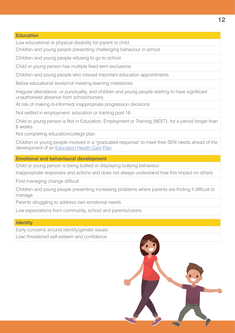Low educational or physical disability for parent or child

Children and young people presenting challenging behaviour in school

Children and young people refusing to go to school

Child or young person has multiple fixed term exclusions

Children and young people who missed important education appointments

Below educational levels/not meeting learning milestones

Irregular attendance, or punctuality, and children and young people starting to have significant unauthorised absence from school/nursery

At risk of making ill-informed/ inappropriate progression decisions

Not settled in employment, education or training post 16

Child or young person is Not in Education, Employment or Training (NEET), for a period longer than 6 weeks

Not completing education/college plan

Children or young people involved in a "graduated response" to meet their SEN needs ahead of the development of an [Education Health Care Plan](https://www.lancashire.gov.uk/children-education-families/special-educational-needs-and-disabilities/education-health-and-care-plans/what-is-an-education-health-and-care-plan/)

**Emotional and behavioural development**

Child or young person is being bullied or displaying bullying behaviour

Inappropriate responses and actions and does not always understand how this impact on others

Find managing change difficult

Children and young people presenting increasing problems where parents are finding it difficult to manage

Parents struggling to address own emotional needs

Low expectations from community, school and parents/carers

**Identity**

Early concerns around identity/gender issues

Low/ threatened self-esteem and confidence

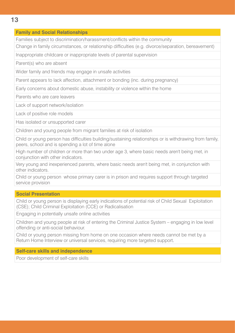## **Family and Social Relationships**

Families subject to discrimination/harassment/conflicts within the community

Change in family circumstances, or relationship difficulties (e.g. divorce/separation, bereavement)

Inappropriate childcare or inappropriate levels of parental supervision

Parent(s) who are absent

Wider family and friends may engage in unsafe activities

Parent appears to lack affection, attachment or bonding (inc. during pregnancy)

Early concerns about domestic abuse, instability or violence within the home

Parents who are care leavers

Lack of support network/isolation

Lack of positive role models

Has isolated or unsupported carer

Children and young people from migrant families at risk of isolation

Child or young person has difficulties building/sustaining relationships or is withdrawing from family, peers, school and is spending a lot of time alone

High number of children or more than two under age 3, where basic needs aren't being met, in conjunction with other indicators.

Very young and inexperienced parents, where basic needs aren't being met, in conjunction with other indicators.

Child or young person whose primary carer is in prison and requires support through targeted service provision

## **Social Presentation**

Child or young person is displaying early indications of potential risk of Child Sexual Exploitation (CSE); Child Criminal Exploitation (CCE) or Radicalisation

Engaging in potentially unsafe online activities

Children and young people at risk of entering the Criminal Justice System – engaging in low level offending or anti-social behaviour.

Child or young person missing from home on one occasion where needs cannot be met by a Return Home Interview or universal services, requiring more targeted support.

## **Self-care skills and independence**

Poor development of self-care skills

**13**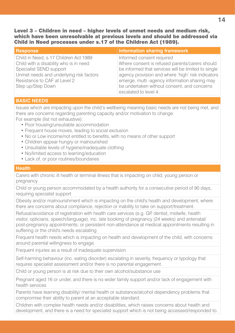Level 3 – Children in need – higher levels of unmet needs and medium risk, which have been unresolvable at previous levels and should be addressed via Child in Need processes under s.17 of the Children Act (1989).

| <b>Response</b>                         | <b>Information sharing framework</b>                |
|-----------------------------------------|-----------------------------------------------------|
| Child in Need, s.17 Children Act 1989   | Informed consent required                           |
| Child with a disability who is in need  | Where consent is refused parents/carers should      |
| Specialist SEND support                 | be informed that services will be limited to single |
| Unmet needs and underlying risk factors | agency provision and where 'high' risk indicators   |
| Resistance to CAF at Level 2            | emerge, multi -agency information sharing may       |
| Step up/Step Down                       | be undertaken without consent, and concerns         |
|                                         | escalated to level 4.                               |

## **BASIC NEEDS**

Issues which are impacting upon the child's wellbeing meaning basic needs are not being met, and there are concerns regarding parenting capacity and/or motivation to change. For example (list not exhaustive):

- Poor housing/unsuitable accommodation
- Frequent house moves, leading to social exclusion
- No or Low income/not entitled to benefits, with no means of other support
- Children appear hungry or malnourished
- Unsuitable levels of hygiene/inadequate clothing
- No/limited access to learning/education
- Lack of, or poor routines/boundaries

## **Health**

Carers with chronic ill health or terminal illness that is impacting on child, young person or pregnancy

Child or young person accommodated by a health authority for a consecutive period of 90 days, requiring specialist support

Obesity and/or malnourishment which is impacting on the child's health and development, where there are concerns about compliance, rejection or inability to take on support/treatment.

Refusal/avoidance of registration with health care services (e.g. GP, dentist, midwife, health visitor, opticians, speech/language), inc. late booking of pregnancy (24 weeks) and antenatal/ post-pregnancy appointments; or persistent non-attendance at medical appointments resulting in suffering or the child's needs escalating

Frequent health needs which is impacting on health and development of the child, with concerns around parental willingness to engage.

Frequent injuries as a result of inadequate supervision

Self-harming behaviour (inc. eating disorder) escalating in severity, frequency or typology that requires specialist assessment and/or there is no parental engagement.

Child or young person is at risk due to their own alcohol/substance use

Pregnant aged 16 or under, and there is no wider family support and/or lack of engagement with health services

Parents have learning disability/ mental health or substance/alcohol dependency problems that compromise their ability to parent at an acceptable standard.

Children with complex health needs and/or disabilities, which raises concerns about health and development, and there is a need for specialist support which is not being accessed/responded to.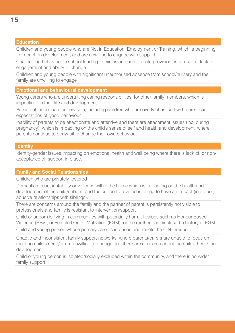## **Education**

Children and young people who are Not in Education, Employment or Training, which is beginning to impact on development, and are unwilling to engage with support.

Challenging behaviour in school leading to exclusion and alternate provision as a result of lack of engagement and ability to change.

Children and young people with significant unauthorised absence from school/nursery and the family are unwilling to engage

### **Emotional and behavioural development**

Young carers who are undertaking caring responsibilities, for other family members, which is impacting on their life and development

Persistent inadequate supervision, including children who are overly chastised with unrealistic expectations of good behaviour

Inability of parents to be affectionate and attentive and there are attachment issues (inc. during pregnancy), which is impacting on the child's sense of self and health and development, where parents continue to deny/fail to change their own behaviour

## **Identity**

Identity/gender issues impacting on emotional health and well being where there is lack of, or nonacceptance of, support in place.

### **Family and Social Relationships**

Children who are privately fostered

Domestic abuse, instability or violence within the home which is impacting on the health and development of the child/unborn, and the support provided is failing to have an impact (inc. poor, abusive relationships with siblings).

There are concerns around the family and the partner of parent is persistently not visible to professionals and family is resistant to intervention/support

Child or unborn is living in communities with potentially harmful values such as Honour Based Violence (HBV), or Female Genital Mutilation (FGM), or the mother has disclosed a history of FGM.

Child and young person whose primary carer is in prison and meets the CIN threshold

Chaotic and inconsistent family support networks, where parents/carers are unable to focus on meeting child's need/or are unwilling to engage and there are concerns about the child's health and development

Child or young person is isolated/socially excluded within the community, and there is no wider family support.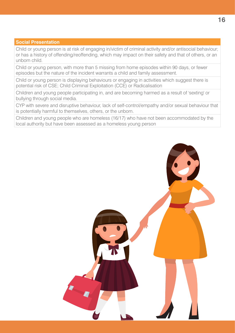## **Social Presentation**

Child or young person is at risk of engaging in/victim of criminal activity and/or antisocial behaviour; or has a history of offending/reoffending, which may impact on their safety and that of others, or an unborn child.

Child or young person, with more than 5 missing from home episodes within 90 days, or fewer episodes but the nature of the incident warrants a child and family assessment.

Child or young person is displaying behaviours or engaging in activities which suggest there is potential risk of CSE; Child Criminal Exploitation (CCE) or Radicalisation

Children and young people participating in, and are becoming harmed as a result of 'sexting' or bullying through social media.

CYP with severe and disruptive behaviour, lack of self-control/empathy and/or sexual behaviour that is potentially harmful to themselves, others, or the unborn.

Children and young people who are homeless (16/17) who have not been accommodated by the local authority but have been assessed as a homeless young person

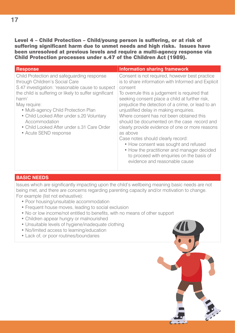Level 4 – Child Protection – Child/young person is suffering, or at risk of suffering significant harm due to unmet needs and high risks. Issues have been unresolved at previous levels and require a multi-agency response via Child Protection processes under s.47 of the Children Act (1989).

| <b>Response</b>                                                                                                                                                                                                                                                                                                                                                                                  | <b>Information sharing framework</b>                                                                                                                                                                                                                                                                                                                                                                                                                                                                                                                                                                                                                                                 |
|--------------------------------------------------------------------------------------------------------------------------------------------------------------------------------------------------------------------------------------------------------------------------------------------------------------------------------------------------------------------------------------------------|--------------------------------------------------------------------------------------------------------------------------------------------------------------------------------------------------------------------------------------------------------------------------------------------------------------------------------------------------------------------------------------------------------------------------------------------------------------------------------------------------------------------------------------------------------------------------------------------------------------------------------------------------------------------------------------|
| Child Protection and safeguarding response<br>through Children's Social Care<br>S.47 investigation: 'reasonable cause to suspect<br>the child is suffering or likely to suffer significant<br>harm'<br>May require:<br>• Multi-agency Child Protection Plan<br>• Child Looked After under s.20 Voluntary<br>Accommodation<br>• Child Looked After under s.31 Care Order<br>• Acute SEND response | Consent is not required, however best practice<br>is to share information with Informed and Explicit<br>consent<br>To overrule this a judgement is required that<br>seeking consent place a child at further risk,<br>prejudice the detection of a crime, or lead to an<br>unjustified delay in making enquiries.<br>Where consent has not been obtained this<br>should be documented on the case record and<br>clearly provide evidence of one or more reasons<br>as above<br>Case notes should clearly record:<br>• How consent was sought and refused<br>• How the practitioner and manager decided<br>to proceed with enquiries on the basis of<br>evidence and reasonable cause |

## **BASIC NEEDS**

Issues which are significantly impacting upon the child's wellbeing meaning basic needs are not being met, and there are concerns regarding parenting capacity and/or motivation to change. For example (list not exhaustive):

- Poor housing/unsuitable accommodation
- Frequent house moves, leading to social exclusion
- No or low income/not entitled to benefits, with no means of other support
- Children appear hungry or malnourished
- Unsuitable levels of hygiene/inadequate clothing
- No/limited access to learning/education
- Lack of, or poor routines/boundaries

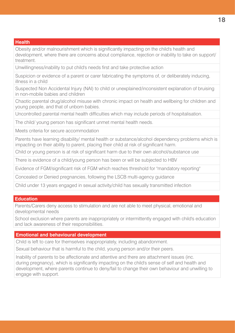## **Health**

Obesity and/or malnourishment which is significantly impacting on the child's health and development, where there are concerns about compliance, rejection or inability to take on support/ treatment.

Unwillingness/inability to put child's needs first and take protective action

Suspicion or evidence of a parent or carer fabricating the symptoms of, or deliberately inducing, illness in a child

Suspected Non Accidental Injury (NAI) to child or unexplained/inconsistent explanation of bruising in non-mobile babies and children

Chaotic parental drug/alcohol misuse with chronic impact on health and wellbeing for children and young people, and that of unborn babies.

Uncontrolled parental mental health difficulties which may include periods of hospitalisation.

The child/ young person has significant unmet mental health needs.

Meets criteria for secure accommodation

Parents have learning disability/ mental health or substance/alcohol dependency problems which is impacting on their ability to parent, placing their child at risk of significant harm.

Child or young person is at risk of significant harm due to their own alcohol/substance use

There is evidence of a child/young person has been or will be subjected to HBV

Evidence of FGM/significant risk of FGM which reaches threshold for "mandatory reporting"

Concealed or Denied pregnancies, following the LSCB multi-agency guidance

Child under 13 years engaged in sexual activity/child has sexually transmitted infection

## **Education**

Parents/Carers deny access to stimulation and are not able to meet physical, emotional and developmental needs

School exclusion where parents are inappropriately or intermittently engaged with child's education and lack awareness of their responsibilities.

## **Emotional and behavioural development**

Child is left to care for themselves inappropriately, including abandonment.

Sexual behaviour that is harmful to the child, young person and/or their peers.

Inability of parents to be affectionate and attentive and there are attachment issues (inc. during pregnancy), which is significantly impacting on the child's sense of self and health and development, where parents continue to deny/fail to change their own behaviour and unwilling to engage with support.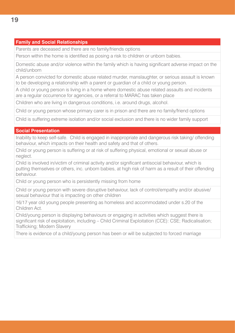## **Family and Social Relationships**

Parents are deceased and there are no family/friends options

Person within the home is identified as posing a risk to children or unborn babies.

Domestic abuse and/or violence within the family which is having significant adverse impact on the child/unborn

A person convicted for domestic abuse related murder, manslaughter, or serious assault is known to be developing a relationship with a parent or guardian of a child or young person.

A child or young person is living in a home where domestic abuse related assaults and incidents are a regular occurrence for agencies, or a referral to MARAC has taken place

Children who are living in dangerous conditions, i.e. around drugs, alcohol.

Child or young person whose primary carer is in prison and there are no family/friend options

Child is suffering extreme isolation and/or social exclusion and there is no wider family support

## **Social Presentation**

Inability to keep self-safe. Child is engaged in inappropriate and dangerous risk taking/ offending behaviour, which impacts on their health and safety and that of others.

Child or young person is suffering or at risk of suffering physical, emotional or sexual abuse or neglect.

Child is involved in/victim of criminal activity and/or significant antisocial behaviour, which is putting themselves or others, inc. unborn babies, at high risk of harm as a result of their offending behaviour.

Child or young person who is persistently missing from home

Child or young person with severe disruptive behaviour, lack of control/empathy and/or abusive/ sexual behaviour that is impacting on other children

16/17 year old young people presenting as homeless and accommodated under s.20 of the Children Act.

Child/young person is displaying behaviours or engaging in activities which suggest there is significant risk of exploitation, including – Child Criminal Exploitation (CCE): CSE; Radicalisation; Trafficking; Modern Slavery

There is evidence of a child/young person has been or will be subjected to forced marriage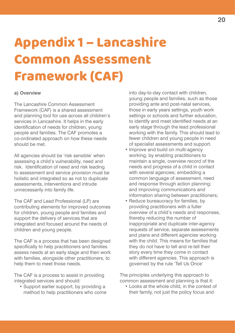## Appendix 1 – Lancashire Common Assessment Framework (CAF)

### **a) Overview**

The Lancashire Common Assessment Framework (CAF) is a shared assessment and planning tool for use across all children's services in Lancashire. It helps in the early identification of needs for children, young people and families. The CAF promotes a co-ordinated approach on how these needs should be met.

All agencies should be 'risk sensible' when assessing a child's vulnerability, need and risk. Identification of need and risk leading to assessment and service provision must be holistic and integrated so as not to duplicate assessments, interventions and intrude unnecessarily into family life.

The CAF and Lead Professional (LP) are contributing elements for improved outcomes for children, young people and families and support the delivery of services that are integrated and focused around the needs of children and young people.

The CAF is a process that has been designed specifically to help practitioners and families assess needs at an early stage and then work with families, alongside other practitioners, to help them to meet those needs.

The CAF is a process to assist in providing integrated services and should:

 • Support earlier support, by providing a method to help practitioners who come

into day-to-day contact with children, young people and families, such as those providing ante and post-natal services, those in early years settings, youth work settings or schools and further education, to identify and meet identified needs at an early stage through the lead professional working with the family. This should lead to fewer children and young people in need of specialist assessments and support.

- Improve and build on multi-agency working, by enabling practitioners to maintain a single, overview record of the needs and progress of a child in contact with several agencies; embedding a common language of assessment, need and response through action planning; and improving communications and information sharing between practitioners;
- Reduce bureaucracy for families, by providing practitioners with a fuller overview of a child's needs and responses, thereby reducing the number of inappropriate and duplicate inter-agency requests of service, separate assessments and plans and different agencies working with the child. This means for families that they do not have to tell and re-tell their story every time they come in contact with different agencies. This approach is governed by the rule 'Tell Us Once'

The principles underlying this approach to common assessment and planning is that it:

 • Looks at the whole child, in the context of their family, not just the policy focus and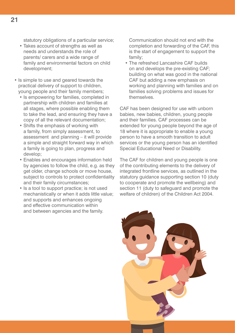statutory obligations of a particular service;

- Takes account of strengths as well as needs and understands the role of parents/ carers and a wide range of family and environmental factors on child development;
- Is simple to use and geared towards the practical delivery of support to children, young people and their family members;
	- Is empowering for families, completed in partnership with children and families at all stages, where possible enabling them to take the lead, and ensuring they have a copy of all the relevant documentation;
	- Shifts the emphasis of working with a family, from simply assessment, to assessment and planning – it will provide a simple and straight forward way in which a family is going to plan, progress and develop;
	- Enables and encourages information held by agencies to follow the child, e.g. as they get older, change schools or move house, subject to controls to protect confidentiality and their family circumstances;
	- Is a tool to support practice; is not used mechanistically or when it adds little value; and supports and enhances ongoing and effective communication within and between agencies and the family.

Communication should not end with the completion and forwarding of the CAF, this is the start of engagement to support the family;

 • The refreshed Lancashire CAF builds on and develops the pre-existing CAF; building on what was good in the national CAF but adding a new emphasis on working and planning with families and on families solving problems and issues for themselves.

CAF has been designed for use with unborn babies, new babies, children, young people and their families. CAF processes can be extended for young people beyond the age of 18 where it is appropriate to enable a young person to have a smooth transition to adult services or the young person has an identified Special Educational Need or Disability.

The CAF for children and young people is one of the contributing elements to the delivery of integrated frontline services, as outlined in the statutory guidance supporting section 10 (duty to cooperate and promote the wellbeing) and section 11 (duty to safeguard and promote the welfare of children) of the Children Act 2004.

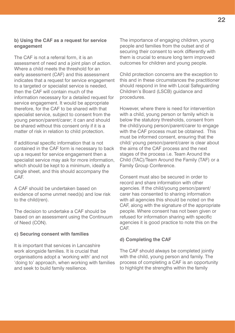## **b) Using the CAF as a request for service engagement**

The CAF is not a referral form, it is an assessment of need and a joint plan of action. Where a child meets the threshold for an early assessment (CAF) and this assessment indicates that a request for service engagement to a targeted or specialist service is needed, then the CAF will contain much of the information necessary for a detailed request for service engagement. It would be appropriate therefore, for the CAF to be shared with that specialist service, subject to consent from the young person/parent/carer; it can and should be shared without this consent only if it is a matter of risk in relation to child protection.

If additional specific information that is not contained in the CAF form is necessary to back up a request for service engagement then a specialist service may ask for more information, which should be kept to a minimum, ideally a single sheet, and this should accompany the CAF.

A CAF should be undertaken based on evidence of some unmet need(s) and low risk to the child(ren).

The decision to undertake a CAF should be based on an assessment using the Continuum of Need (CON).

### **c) Securing consent with families**

It is important that services in Lancashire work alongside families. It is crucial that organisations adopt a 'working with' and not 'doing to' approach, when working with families and seek to build family resilience.

The importance of engaging children, young people and families from the outset and of securing their consent to work differently with them is crucial to ensure long term improved outcomes for children and young people.

Child protection concerns are the exception to this and in these circumstances the practitioner should respond in line with Local Safeguarding Children's Board (LSCB) guidance and procedures.

However, where there is need for intervention with a child, young person or family which is below the statutory thresholds, consent from the child/young person/parent/carer to engage with the CAF process must be obtained. This must be informed consent, ensuring that the child/ young person/parent/carer is clear about the aims of the CAF process and the next stages of the process i.e. Team Around the Child (TAC)/Team Around the Family (TAF) or a Family Group Conference.

Consent must also be secured in order to record and share information with other agencies. If the child/young person/parent/ carer has consented to sharing information with all agencies this should be noted on the CAF, along with the signature of the appropriate people. Where consent has not been given or refused for information sharing with specific agencies it is good practice to note this on the CAF.

### **d) Completing the CAF**

The CAF should always be completed jointly with the child, young person and family. The process of completing a CAF is an opportunity to highlight the strengths within the family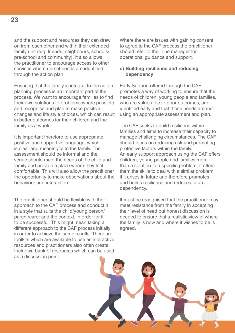and the support and resources they can draw on from each other and within their extended family unit (e.g. friends, neighbours, schools/ pre-school and community). It also allows the practitioner to encourage access to other services where unmet needs are identified, through the action plan.

Ensuring that the family is integral to the action planning process is an important part of the process. We want to encourage families to find their own solutions to problems where possible and recognise and plan to make positive changes and life style choices, which can result in better outcomes for their children and the family as a whole.

It is important therefore to use appropriate positive and supportive language, which is clear and meaningful to the family. The assessment should be informal and the venue should meet the needs of the child and family and provide a place where they feel comfortable. This will also allow the practitioner the opportunity to make observations about the behaviour and interaction.

The practitioner should be flexible with their approach to the CAF process and conduct it in a style that suits the child/young person/ parent/carer and the context, in order for it to be successful. This might mean taking a different approach to the CAF process initially in order to achieve the same results. There are toolkits which are available to use as interactive resources and practitioners also often create their own bank of resources which can be used as a discussion point.

Where there are issues with gaining consent to agree to the CAF process the practitioner should refer to their line manager for operational guidance and support.

## **e) Building resilience and reducing dependency**

Early Support offered through the CAF promotes a way of working to ensure that the needs of children, young people and families, who are vulnerable to poor outcomes, are identified early and that those needs are met using an appropriate assessment and plan.

The CAF seeks to build resilience within families and aims to increase their capacity to manage challenging circumstances. The CAF should focus on reducing risk and promoting protective factors within the family. An early support approach using the CAF offers children, young people and families more than a solution to a specific problem; it offers them the skills to deal with a similar problem if it arises in future and therefore promotes and builds resilience and reduces future dependency.

It must be recognised that the practitioner may meet resistance from the family in accepting their level of need but honest discussion is needed to ensure that a realistic view of where the family is now and where it wishes to be is agreed.

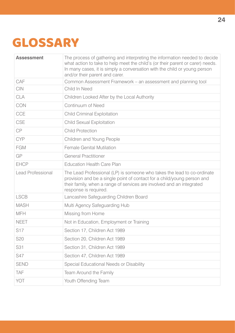## GLOSSARY

| <b>Assessment</b>        | The process of gathering and interpreting the information needed to decide<br>what action to take to help meet the child's (or their parent or carer) needs.<br>In many cases, it is simply a conversation with the child or young person<br>and/or their parent and carer. |
|--------------------------|-----------------------------------------------------------------------------------------------------------------------------------------------------------------------------------------------------------------------------------------------------------------------------|
| CAF                      | Common Assessment Framework – an assessment and planning tool                                                                                                                                                                                                               |
| <b>CIN</b>               | Child In Need                                                                                                                                                                                                                                                               |
| <b>CLA</b>               | Children Looked After by the Local Authority                                                                                                                                                                                                                                |
| CON                      | <b>Continuum of Need</b>                                                                                                                                                                                                                                                    |
| <b>CCE</b>               | <b>Child Criminal Exploitation</b>                                                                                                                                                                                                                                          |
| CSE                      | <b>Child Sexual Exploitation</b>                                                                                                                                                                                                                                            |
| CP                       | <b>Child Protection</b>                                                                                                                                                                                                                                                     |
| <b>CYP</b>               | Children and Young People                                                                                                                                                                                                                                                   |
| <b>FGM</b>               | <b>Female Genital Mutilation</b>                                                                                                                                                                                                                                            |
| GP                       | <b>General Practitioner</b>                                                                                                                                                                                                                                                 |
| <b>EHCP</b>              | <b>Education Health Care Plan</b>                                                                                                                                                                                                                                           |
| <b>Lead Professional</b> | The Lead Professional (LP) is someone who takes the lead to co-ordinate<br>provision and be a single point of contact for a child/young person and<br>their family, when a range of services are involved and an integrated<br>response is required.                        |
| <b>LSCB</b>              | Lancashire Safeguarding Children Board                                                                                                                                                                                                                                      |
| <b>MASH</b>              | Multi Agency Safeguarding Hub                                                                                                                                                                                                                                               |
| <b>MFH</b>               | Missing from Home                                                                                                                                                                                                                                                           |
| <b>NEET</b>              | Not in Education, Employment or Training                                                                                                                                                                                                                                    |
| S17                      | Section 17, Children Act 1989                                                                                                                                                                                                                                               |
| S <sub>20</sub>          | Section 20, Children Act 1989                                                                                                                                                                                                                                               |
| S31                      | Section 31, Children Act 1989                                                                                                                                                                                                                                               |
| S47                      | Section 47, Children Act 1989                                                                                                                                                                                                                                               |
| <b>SEND</b>              | Special Educational Needs or Disability                                                                                                                                                                                                                                     |
| TAF                      | Team Around the Family                                                                                                                                                                                                                                                      |
| YOT                      | Youth Offending Team                                                                                                                                                                                                                                                        |